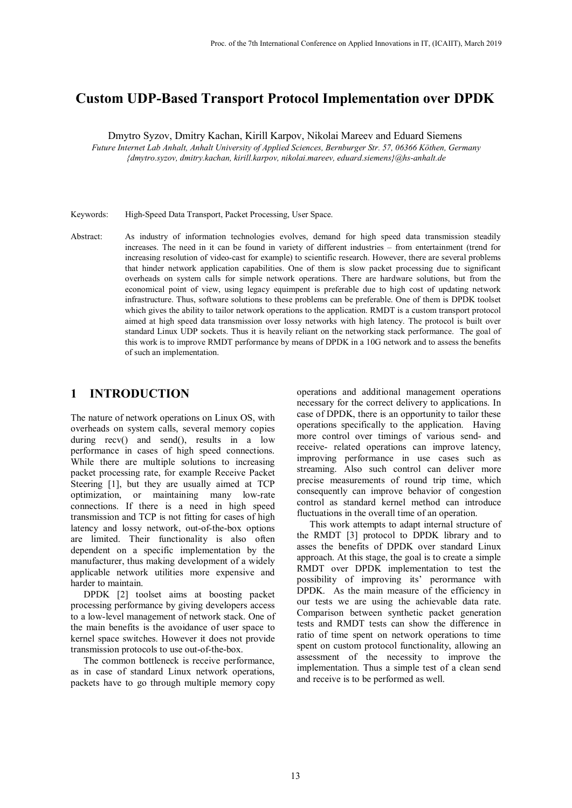# **Custom UDP-Based Transport Protocol Implementation over DPDK**

Dmytro Syzov, Dmitry Kachan, Kirill Karpov, Nikolai Mareev and Eduard Siemens

*Future Internet Lab Anhalt, Anhalt University of Applied Sciences, Bernburger Str. 57, 06366 Köthen, Germany {dmytro.syzov, dmitry.kachan, kirill.karpov, nikolai.mareev, eduard.siemens}@hs-anhalt.de*

Keywords: High-Speed Data Transport, Packet Processing, User Space.

Abstract: As industry of information technologies evolves, demand for high speed data transmission steadily increases. The need in it can be found in variety of different industries – from entertainment (trend for increasing resolution of video-cast for example) to scientific research. However, there are several problems that hinder network application capabilities. One of them is slow packet processing due to significant overheads on system calls for simple network operations. There are hardware solutions, but from the economical point of view, using legacy equimpent is preferable due to high cost of updating network infrastructure. Thus, software solutions to these problems can be preferable. One of them is DPDK toolset which gives the ability to tailor network operations to the application. RMDT is a custom transport protocol aimed at high speed data transmission over lossy networks with high latency. The protocol is built over standard Linux UDP sockets. Thus it is heavily reliant on the networking stack performance. The goal of this work is to improve RMDT performance by means of DPDK in a 10G network and to assess the benefits of such an implementation.

# **1 INTRODUCTION**

The nature of network operations on Linux OS, with overheads on system calls, several memory copies during recv() and send(), results in a low performance in cases of high speed connections. While there are multiple solutions to increasing packet processing rate, for example Receive Packet Steering [1], but they are usually aimed at TCP optimization, or maintaining many low-rate connections. If there is a need in high speed transmission and TCP is not fitting for cases of high latency and lossy network, out-of-the-box options are limited. Their functionality is also often dependent on a specific implementation by the manufacturer, thus making development of a widely applicable network utilities more expensive and harder to maintain.

DPDK [2] toolset aims at boosting packet processing performance by giving developers access to a low-level management of network stack. One of the main benefits is the avoidance of user space to kernel space switches. However it does not provide transmission protocols to use out-of-the-box.

The common bottleneck is receive performance, as in case of standard Linux network operations, packets have to go through multiple memory copy

operations and additional management operations necessary for the correct delivery to applications. In case of DPDK, there is an opportunity to tailor these operations specifically to the application. Having more control over timings of various send- and receive- related operations can improve latency, improving performance in use cases such as streaming. Also such control can deliver more precise measurements of round trip time, which consequently can improve behavior of congestion control as standard kernel method can introduce fluctuations in the overall time of an operation.

This work attempts to adapt internal structure of the RMDT [3] protocol to DPDK library and to asses the benefits of DPDK over standard Linux approach. At this stage, the goal is to create a simple RMDT over DPDK implementation to test the possibility of improving its' perormance with DPDK. As the main measure of the efficiency in our tests we are using the achievable data rate. Comparison between synthetic packet generation tests and RMDT tests can show the difference in ratio of time spent on network operations to time spent on custom protocol functionality, allowing an assessment of the necessity to improve the implementation. Thus a simple test of a clean send and receive is to be performed as well.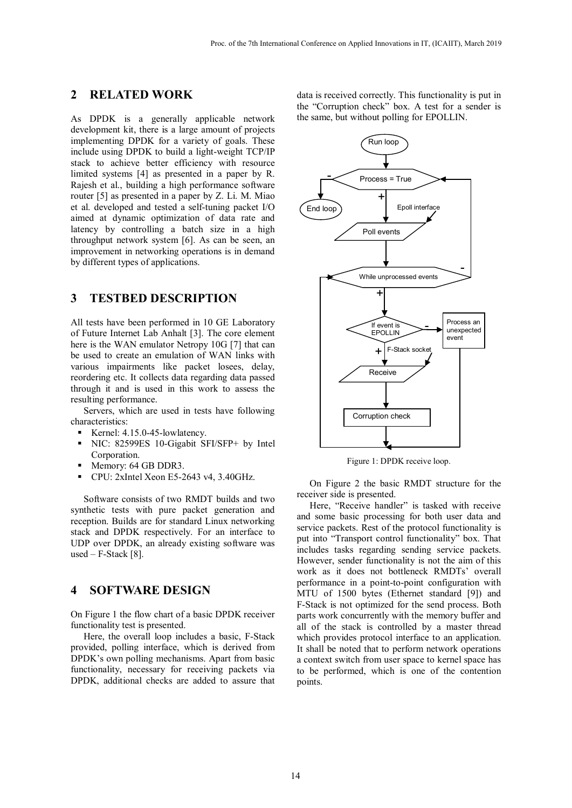# **2 RELATED WORK**

As DPDK is a generally applicable network development kit, there is a large amount of projects implementing DPDK for a variety of goals. These include using DPDK to build a light-weight TCP/IP stack to achieve better efficiency with resource limited systems [4] as presented in a paper by R. Rajesh et al., building a high performance software router [5] as presented in a paper by Z. Li. M. Miao et al. developed and tested a self-tuning packet I/O aimed at dynamic optimization of data rate and latency by controlling a batch size in a high throughput network system [6]. As can be seen, an improvement in networking operations is in demand by different types of applications.

## **3 TESTBED DESCRIPTION**

All tests have been performed in 10 GE Laboratory of Future Internet Lab Anhalt [3]. The core element here is the WAN emulator Netropy 10G [7] that can be used to create an emulation of WAN links with various impairments like packet losees, delay, reordering etc. It collects data regarding data passed through it and is used in this work to assess the resulting performance.

Servers, which are used in tests have following characteristics:

- Kernel: 4.15.0-45-lowlatency.
- NIC: 82599ES 10-Gigabit SFI/SFP+ by Intel Corporation.
- Memory: 64 GB DDR3.
- CPU: 2xIntel Xeon E5-2643 v4, 3.40GHz.

Software consists of two RMDT builds and two synthetic tests with pure packet generation and reception. Builds are for standard Linux networking stack and DPDK respectively. For an interface to UDP over DPDK, an already existing software was used – F-Stack [8].

#### **4 SOFTWARE DESIGN**

On Figure 1 the flow chart of a basic DPDK receiver functionality test is presented.

Here, the overall loop includes a basic, F-Stack provided, polling interface, which is derived from DPDK's own polling mechanisms. Apart from basic functionality, necessary for receiving packets via DPDK, additional checks are added to assure that

data is received correctly. This functionality is put in the "Corruption check" box. A test for a sender is the same, but without polling for EPOLLIN.



Figure 1: DPDK receive loop.

On Figure 2 the basic RMDT structure for the receiver side is presented.

Here, "Receive handler" is tasked with receive and some basic processing for both user data and service packets. Rest of the protocol functionality is put into "Transport control functionality" box. That includes tasks regarding sending service packets. However, sender functionality is not the aim of this work as it does not bottleneck RMDTs' overall performance in a point-to-point configuration with MTU of 1500 bytes (Ethernet standard [9]) and F-Stack is not optimized for the send process. Both parts work concurrently with the memory buffer and all of the stack is controlled by a master thread which provides protocol interface to an application. It shall be noted that to perform network operations a context switch from user space to kernel space has to be performed, which is one of the contention points.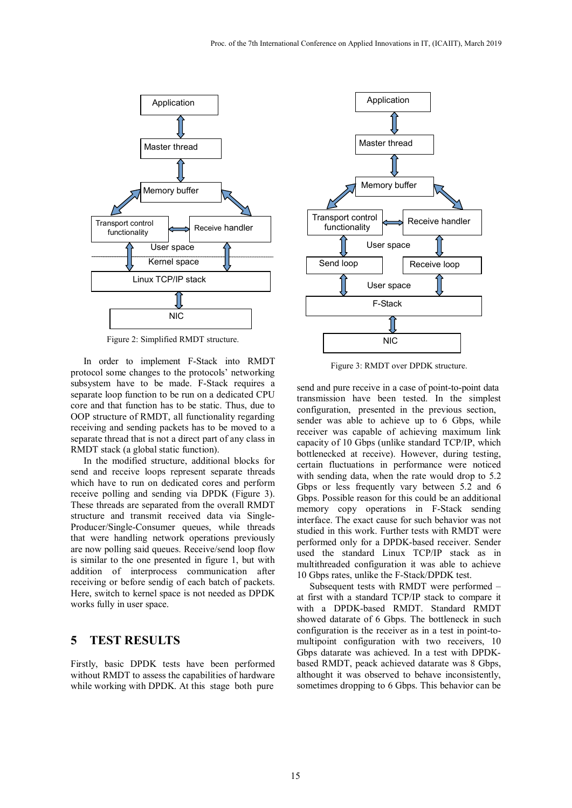

Figure 2: Simplified RMDT structure.

In order to implement F-Stack into RMDT protocol some changes to the protocols' networking subsystem have to be made. F-Stack requires a separate loop function to be run on a dedicated CPU core and that function has to be static. Thus, due to OOP structure of RMDT, all functionality regarding receiving and sending packets has to be moved to a separate thread that is not a direct part of any class in RMDT stack (a global static function).

In the modified structure, additional blocks for send and receive loops represent separate threads which have to run on dedicated cores and perform receive polling and sending via DPDK (Figure 3). These threads are separated from the overall RMDT structure and transmit received data via Single-Producer/Single-Consumer queues, while threads that were handling network operations previously are now polling said queues. Receive/send loop flow is similar to the one presented in figure 1, but with addition of interprocess communication after receiving or before sendig of each batch of packets. Here, switch to kernel space is not needed as DPDK works fully in user space.

## **5 TEST RESULTS**

Firstly, basic DPDK tests have been performed without RMDT to assess the capabilities of hardware while working with DPDK. At this stage both pure



Figure 3: RMDT over DPDK structure.

send and pure receive in a case of point-to-point data transmission have been tested. In the simplest configuration, presented in the previous section, sender was able to achieve up to 6 Gbps, while receiver was capable of achieving maximum link capacity of 10 Gbps (unlike standard TCP/IP, which bottlenecked at receive). However, during testing, certain fluctuations in performance were noticed with sending data, when the rate would drop to 5.2 Gbps or less frequently vary between 5.2 and 6 Gbps. Possible reason for this could be an additional memory copy operations in F-Stack sending interface. The exact cause for such behavior was not studied in this work. Further tests with RMDT were performed only for a DPDK-based receiver. Sender used the standard Linux TCP/IP stack as in multithreaded configuration it was able to achieve 10 Gbps rates, unlike the F-Stack/DPDK test.

Subsequent tests with RMDT were performed – at first with a standard TCP/IP stack to compare it with a DPDK-based RMDT. Standard RMDT showed datarate of 6 Gbps. The bottleneck in such configuration is the receiver as in a test in point-tomultipoint configuration with two receivers, 10 Gbps datarate was achieved. In a test with DPDKbased RMDT, peack achieved datarate was 8 Gbps, althought it was observed to behave inconsistently, sometimes dropping to 6 Gbps. This behavior can be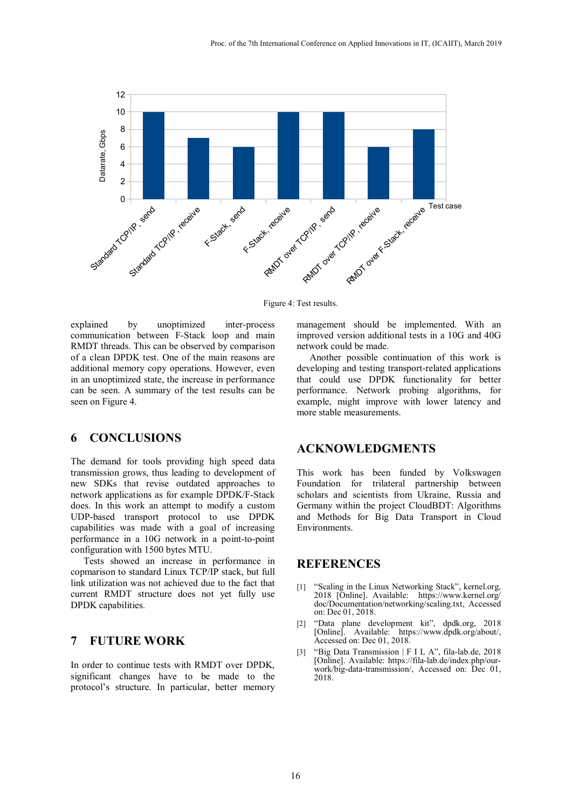

Figure 4: Test results.

explained by unoptimized inter-process communication between F-Stack loop and main RMDT threads. This can be observed by comparison of a clean DPDK test. One of the main reasons are additional memory copy operations. However, even in an unoptimized state, the increase in performance can be seen. A summary of the test results can be seen on Figure 4.

# **6 CONCLUSIONS**

The demand for tools providing high speed data transmission grows, thus leading to development of new SDKs that revise outdated approaches to network applications as for example DPDK/F-Stack does. In this work an attempt to modify a custom UDP-based transport protocol to use DPDK capabilities was made with a goal of increasing performance in a 10G network in a point-to-point configuration with 1500 bytes MTU.

Tests showed an increase in performance in copmarison to standard Linux TCP/IP stack, but full link utilization was not achieved due to the fact that current RMDT structure does not yet fully use DPDK capabilities.

#### **7 FUTURE WORK**

In order to continue tests with RMDT over DPDK, significant changes have to be made to the protocol's structure. In particular, better memory management should be implemented. With an improved version additional tests in a 10G and 40G network could be made.

Another possible continuation of this work is developing and testing transport-related applications that could use DPDK functionality for better performance. Network probing algorithms, for example, might improve with lower latency and more stable measurements.

#### **ACKNOWLEDGMENTS**

This work has been funded by Volkswagen Foundation for trilateral partnership between scholars and scientists from Ukraine, Russia and Germany within the project CloudBDT: Algorithms and Methods for Big Data Transport in Cloud Environments.

## **REFERENCES**

- [1] "Scaling in the Linux Networking Stack", kernel.org, 2018 [Online]. Available: https://www.kernel.org/ doc/Documentation/networking/scaling.txt, Accessed on: Dec 01, 2018.
- [2] "Data plane development kit", dpdk.org, 2018 [Online]. Available: https://www.dpdk.org/about/, Accessed on: Dec 01, 2018.
- [3] "Big Data Transmission | F I L A", fila-lab.de, 2018 [Online]. Available: https://fila-lab.de/index.php/ourwork/big-data-transmission/, Accessed on: Dec 01, 2018.